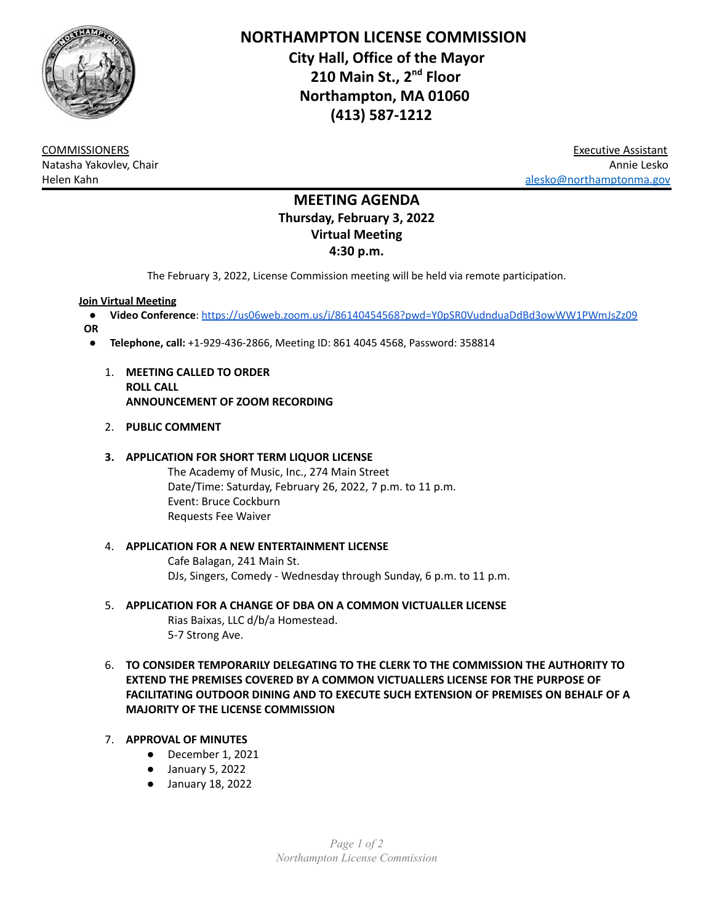

**NORTHAMPTON LICENSE COMMISSION City Hall, Office of the Mayor 210 Main St., 2 nd Floor Northampton, MA 01060 (413) 587-1212**

COMMISSIONERS Executive Assistant Natasha Yakovlev, Chair Annie Lesko Helen Kahn [alesko@northamptonma.gov](mailto:alesko@northamptonma.gov)

# **MEETING AGENDA Thursday, February 3, 2022 Virtual Meeting 4:30 p.m.**

The February 3, 2022, License Commission meeting will be held via remote participation.

#### **Join Virtual Meeting**

- **Video Conference**: <https://us06web.zoom.us/j/86140454568?pwd=Y0pSR0VudnduaDdBd3owWW1PWmJsZz09>
- **OR**
	- **Telephone, call:** +1-929-436-2866, Meeting ID: 861 4045 4568, Password: 358814
		- 1. **MEETING CALLED TO ORDER ROLL CALL ANNOUNCEMENT OF ZOOM RECORDING**
		- 2. **PUBLIC COMMENT**

#### **3. APPLICATION FOR SHORT TERM LIQUOR LICENSE**

The Academy of Music, Inc., 274 Main Street Date/Time: Saturday, February 26, 2022, 7 p.m. to 11 p.m. Event: Bruce Cockburn Requests Fee Waiver

# 4. **APPLICATION FOR A NEW ENTERTAINMENT LICENSE** Cafe Balagan, 241 Main St.

DJs, Singers, Comedy - Wednesday through Sunday, 6 p.m. to 11 p.m.

- 5. **APPLICATION FOR A CHANGE OF DBA ON A COMMON VICTUALLER LICENSE** Rias Baixas, LLC d/b/a Homestead. 5-7 Strong Ave.
- 6. **TO CONSIDER TEMPORARILY DELEGATING TO THE CLERK TO THE COMMISSION THE AUTHORITY TO EXTEND THE PREMISES COVERED BY A COMMON VICTUALLERS LICENSE FOR THE PURPOSE OF FACILITATING OUTDOOR DINING AND TO EXECUTE SUCH EXTENSION OF PREMISES ON BEHALF OF A MAJORITY OF THE LICENSE COMMISSION**

### 7. **APPROVAL OF MINUTES**

- December 1, 2021
- January 5, 2022
- January 18, 2022